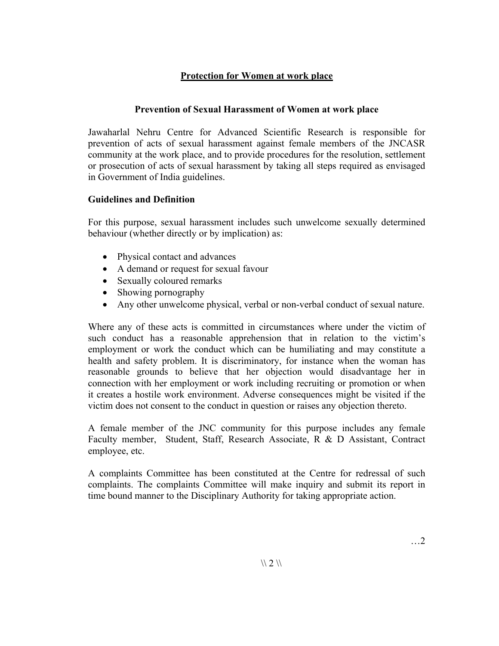## **Protection for Women at work place**

## **Prevention of Sexual Harassment of Women at work place**

Jawaharlal Nehru Centre for Advanced Scientific Research is responsible for prevention of acts of sexual harassment against female members of the JNCASR community at the work place, and to provide procedures for the resolution, settlement or prosecution of acts of sexual harassment by taking all steps required as envisaged in Government of India guidelines.

## **Guidelines and Definition**

For this purpose, sexual harassment includes such unwelcome sexually determined behaviour (whether directly or by implication) as:

- Physical contact and advances
- A demand or request for sexual favour
- Sexually coloured remarks
- Showing pornography
- Any other unwelcome physical, verbal or non-verbal conduct of sexual nature.

Where any of these acts is committed in circumstances where under the victim of such conduct has a reasonable apprehension that in relation to the victim's employment or work the conduct which can be humiliating and may constitute a health and safety problem. It is discriminatory, for instance when the woman has reasonable grounds to believe that her objection would disadvantage her in connection with her employment or work including recruiting or promotion or when it creates a hostile work environment. Adverse consequences might be visited if the victim does not consent to the conduct in question or raises any objection thereto.

A female member of the JNC community for this purpose includes any female Faculty member, Student, Staff, Research Associate, R & D Assistant, Contract employee, etc.

A complaints Committee has been constituted at the Centre for redressal of such complaints. The complaints Committee will make inquiry and submit its report in time bound manner to the Disciplinary Authority for taking appropriate action.